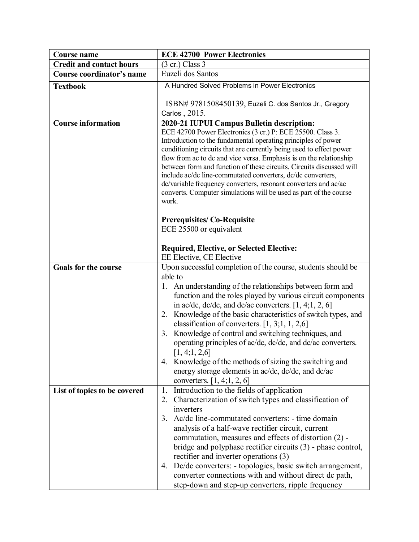| <b>Course name</b>              | <b>ECE 42700 Power Electronics</b>                                                                                                                                                                                                                                                                                                                                                                                                                                                                                                                                                                                         |
|---------------------------------|----------------------------------------------------------------------------------------------------------------------------------------------------------------------------------------------------------------------------------------------------------------------------------------------------------------------------------------------------------------------------------------------------------------------------------------------------------------------------------------------------------------------------------------------------------------------------------------------------------------------------|
| <b>Credit and contact hours</b> | $(3 \text{ cr.})$ Class 3                                                                                                                                                                                                                                                                                                                                                                                                                                                                                                                                                                                                  |
| Course coordinator's name       | Euzeli dos Santos                                                                                                                                                                                                                                                                                                                                                                                                                                                                                                                                                                                                          |
| <b>Textbook</b>                 | A Hundred Solved Problems in Power Electronics                                                                                                                                                                                                                                                                                                                                                                                                                                                                                                                                                                             |
|                                 | ISBN# 9781508450139, Euzeli C. dos Santos Jr., Gregory                                                                                                                                                                                                                                                                                                                                                                                                                                                                                                                                                                     |
|                                 | Carlos, 2015.                                                                                                                                                                                                                                                                                                                                                                                                                                                                                                                                                                                                              |
| <b>Course information</b>       | 2020-21 IUPUI Campus Bulletin description:<br>ECE 42700 Power Electronics (3 cr.) P: ECE 25500. Class 3.<br>Introduction to the fundamental operating principles of power<br>conditioning circuits that are currently being used to effect power<br>flow from ac to dc and vice versa. Emphasis is on the relationship<br>between form and function of these circuits. Circuits discussed will<br>include ac/dc line-commutated converters, dc/dc converters,<br>dc/variable frequency converters, resonant converters and ac/ac<br>converts. Computer simulations will be used as part of the course<br>work.             |
|                                 | <b>Prerequisites/Co-Requisite</b><br>ECE 25500 or equivalent                                                                                                                                                                                                                                                                                                                                                                                                                                                                                                                                                               |
|                                 | <b>Required, Elective, or Selected Elective:</b>                                                                                                                                                                                                                                                                                                                                                                                                                                                                                                                                                                           |
| <b>Goals for the course</b>     | EE Elective, CE Elective<br>Upon successful completion of the course, students should be                                                                                                                                                                                                                                                                                                                                                                                                                                                                                                                                   |
|                                 | able to<br>1. An understanding of the relationships between form and<br>function and the roles played by various circuit components<br>in ac/dc, dc/dc, and dc/ac converters. $[1, 4; 1, 2, 6]$<br>Knowledge of the basic characteristics of switch types, and<br>2.<br>classification of converters. $[1, 3; 1, 1, 2, 6]$<br>Knowledge of control and switching techniques, and<br>3.<br>operating principles of ac/dc, dc/dc, and dc/ac converters.<br>[1, 4; 1, 2, 6]<br>4. Knowledge of the methods of sizing the switching and<br>energy storage elements in ac/dc, dc/dc, and dc/ac<br>converters. $[1, 4; 1, 2, 6]$ |
| List of topics to be covered    | 1. Introduction to the fields of application<br>2. Characterization of switch types and classification of<br>inverters<br>Ac/dc line-commutated converters: - time domain<br>3.<br>analysis of a half-wave rectifier circuit, current<br>commutation, measures and effects of distortion (2) -<br>bridge and polyphase rectifier circuits (3) - phase control,<br>rectifier and inverter operations (3)<br>Dc/dc converters: - topologies, basic switch arrangement,<br>4.<br>converter connections with and without direct dc path,<br>step-down and step-up converters, ripple frequency                                 |